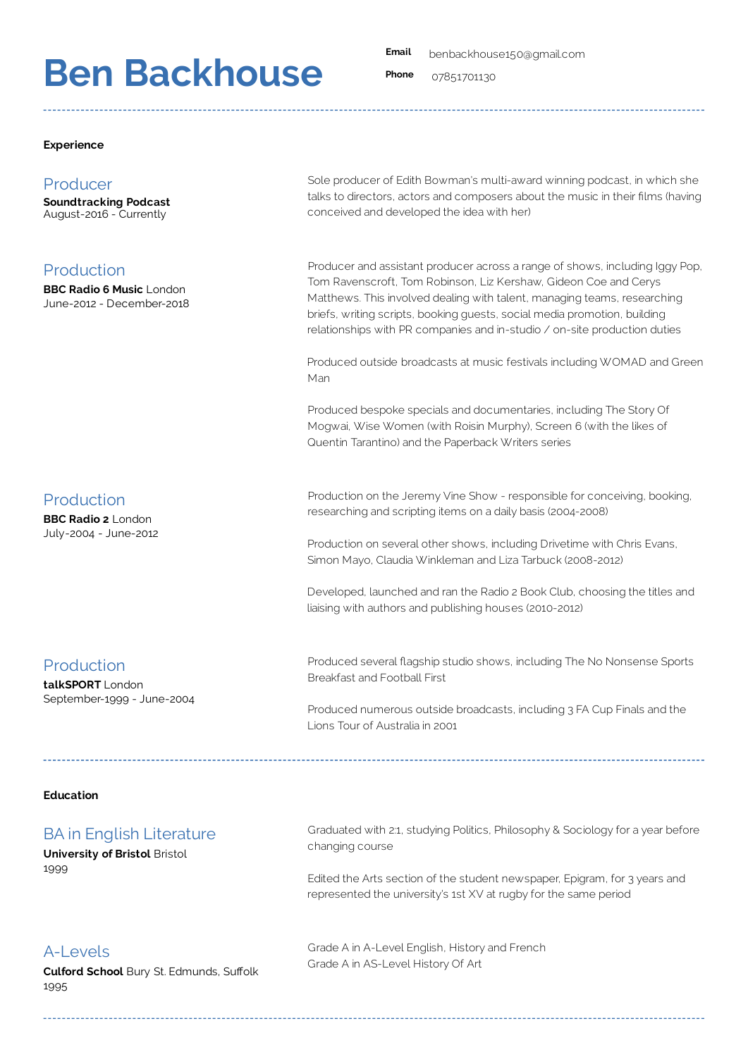# **Ben Backhouse Ben Backhouse**

**Email** benbackhouse150@gmail.com

**Phone** 07851701130

### **Experience**

## **Producer** Producer

**Soundtracking Podcast** August-2016 - Currently

#### Production Production **BBC Radio 6 Music** London

**BBC Radio 6 Music** London June-2012 - December-2018

Sole producer of Edith Bowman's multi-award winning podcast, in which she talks to directors, actors and composers about the music in their films (having conceived and developed the idea with her)

Producer and assistant producer across a range of shows, including Iggy Pop, Tom Ravenscroft, Tom Robinson, Liz Kershaw, Gideon Coe and Cerys Matthews. This involved dealing with talent, managing teams, researching briefs, writing scripts, booking guests, social media promotion, building relationships with PR companies and in-studio / on-site production duties

Produced outside broadcasts at music festivals including WOMAD and Green Man

Produced bespoke specials and documentaries, including The Story Of Mogwai, Wise Women (with Roisin Murphy), Screen 6 (with the likes of Quentin Tarantino) and the Paperback Writers series

Production on the Jeremy Vine Show - responsible for conceiving, booking, researching and scripting items on a daily basis (2004-2008)

Production on several other shows, including Drivetime with Chris Evans, Simon Mayo, Claudia Winkleman and Liza Tarbuck (2008-2012)

Developed, launched and ran the Radio 2 Book Club, choosing the titles and liaising with authors and publishing houses (2010-2012)

#### Production Production **tional** control

Production

Production **BBC Radio 2** London

**BBC Radio 2** London July-2004 - June-2012

 $\sf{talkSPORT}$  London September-1999 - June-2004

Produced several flagship studio shows, including The No Nonsense Sports Breakfast and Football First

Produced numerous outside broadcasts, including 3 FA Cup Finals and the Lions Tour of Australia in 2001

## **Education**

#### BA in English Literature BA in English Literature **University of Bristol** Bristol

**University of Bristol Bristol** 1999

Graduated with 2:1, studying Politics, Philosophy & Sociology for a year before changing course

Edited the Arts section of the student newspaper, Epigram, for 3 years and represented the university's 1st XV at rugby for the same period

#### A-Levels A-Levels **Culford School** Bury St. Edmunds, SuÙolk

**Culford School** Bury St. Edmunds, Suffolk 1995

Grade A in A-Level English, History and French Grade A in AS-Level History Of Art